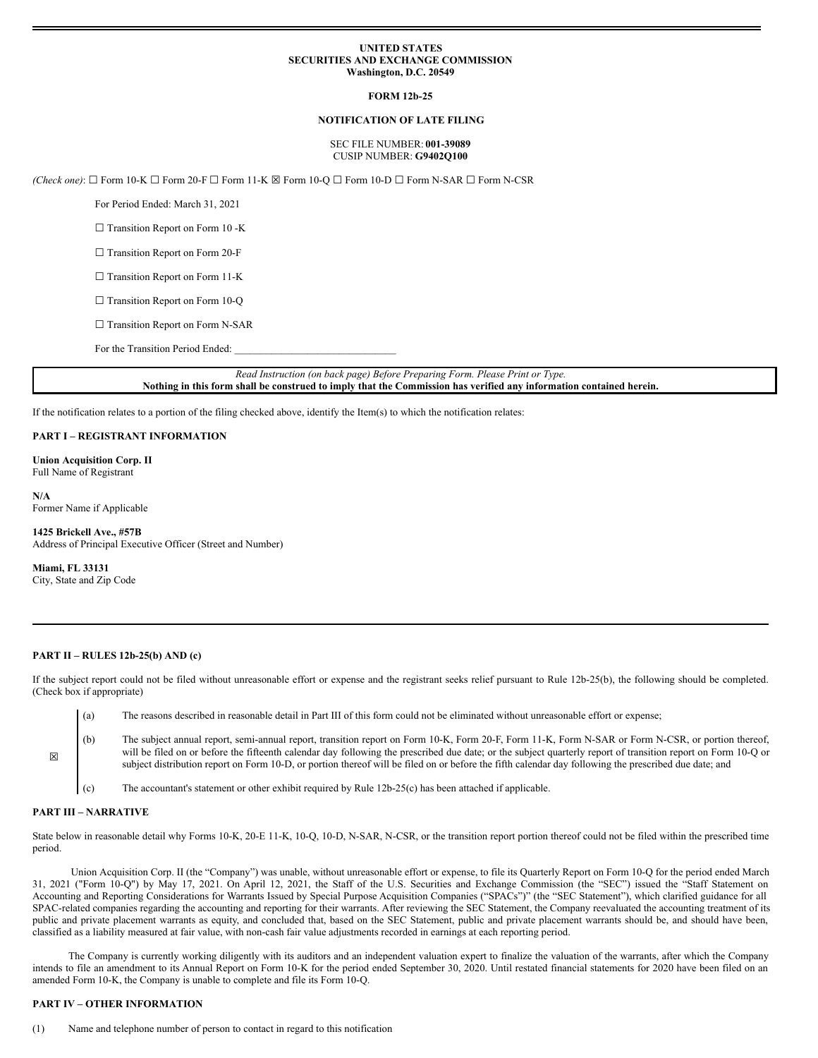## **UNITED STATES SECURITIES AND EXCHANGE COMMISSION Washington, D.C. 20549**

## **FORM 12b-25**

## **NOTIFICATION OF LATE FILING**

## SEC FILE NUMBER: **001-39089** CUSIP NUMBER: **G9402Q100**

*(Check one)*: ☐ Form 10-K ☐ Form 20-F ☐ Form 11-K ☒ Form 10-Q ☐ Form 10-D ☐ Form N-SAR ☐ Form N-CSR

For Period Ended: March 31, 2021

□ Transition Report on Form 10 -K

□ Transition Report on Form 20-F

□ Transition Report on Form 11-K

□ Transition Report on Form 10-Q

□ Transition Report on Form N-SAR

For the Transition Period Ended:

*Read Instruction (on back page) Before Preparing Form. Please Print or Type.* Nothing in this form shall be construed to imply that the Commission has verified any information contained herein.

If the notification relates to a portion of the filing checked above, identify the Item(s) to which the notification relates:

#### **PART I – REGISTRANT INFORMATION**

**Union Acquisition Corp. II** Full Name of Registrant

**N/A** Former Name if Applicable

#### **1425 Brickell Ave., #57B**

Address of Principal Executive Officer (Street and Number)

**Miami, FL 33131** City, State and Zip Code

## **PART II – RULES 12b-25(b) AND (c)**

If the subject report could not be filed without unreasonable effort or expense and the registrant seeks relief pursuant to Rule 12b-25(b), the following should be completed. (Check box if appropriate)

- (a) The reasons described in reasonable detail in Part III of this form could not be eliminated without unreasonable effort or expense;
- (b) The subject annual report, semi-annual report, transition report on Form 10-K, Form 20-F, Form 11-K, Form N-SAR or Form N-CSR, or portion thereof, will be filed on or before the fifteenth calendar day following the prescribed due date; or the subject quarterly report of transition report on Form 10-Q or subject distribution report on Form 10-D, or portion thereof will be filed on or before the fifth calendar day following the prescribed due date; and
- (c) The accountant's statement or other exhibit required by Rule 12b-25(c) has been attached if applicable.

## **PART III – NARRATIVE**

☒

State below in reasonable detail why Forms 10-K, 20-E 11-K, 10-Q, 10-D, N-SAR, N-CSR, or the transition report portion thereof could not be filed within the prescribed time period.

Union Acquisition Corp. II (the "Company") was unable, without unreasonable effort or expense, to file its Quarterly Report on Form 10-Q for the period ended March 31, 2021 ("Form 10-Q") by May 17, 2021. On April 12, 2021, the Staff of the U.S. Securities and Exchange Commission (the "SEC") issued the "Staff Statement on Accounting and Reporting Considerations for Warrants Issued by Special Purpose Acquisition Companies ("SPACs")" (the "SEC Statement"), which clarified guidance for all SPAC-related companies regarding the accounting and reporting for their warrants. After reviewing the SEC Statement, the Company reevaluated the accounting treatment of its public and private placement warrants as equity, and concluded that, based on the SEC Statement, public and private placement warrants should be, and should have been, classified as a liability measured at fair value, with non-cash fair value adjustments recorded in earnings at each reporting period.

The Company is currently working diligently with its auditors and an independent valuation expert to finalize the valuation of the warrants, after which the Company intends to file an amendment to its Annual Report on Form 10-K for the period ended September 30, 2020. Until restated financial statements for 2020 have been filed on an amended Form 10-K, the Company is unable to complete and file its Form 10-Q.

# **PART IV – OTHER INFORMATION**